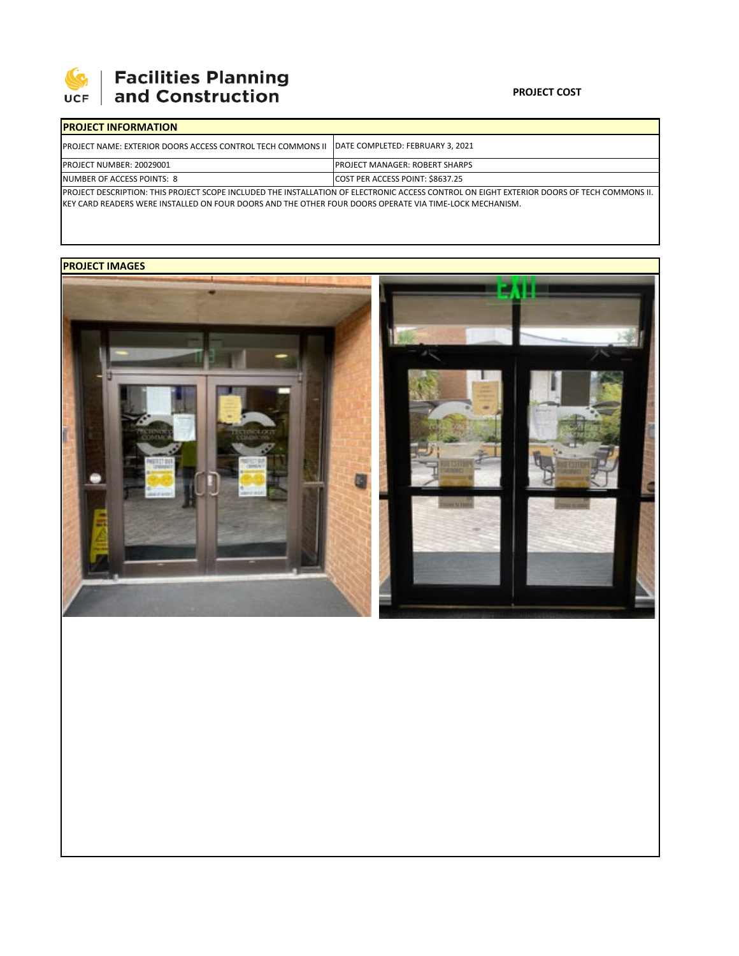

## | Facilities Planning<br>| and Construction

## **PROJECT COST**

| <b>IPROJECT INFORMATION</b>                                                                           |                                                                                                                                                   |  |  |  |  |
|-------------------------------------------------------------------------------------------------------|---------------------------------------------------------------------------------------------------------------------------------------------------|--|--|--|--|
| <b>IPROJECT NAME: EXTERIOR DOORS ACCESS CONTROL TECH COMMONS II IDATE COMPLETED: FEBRUARY 3, 2021</b> |                                                                                                                                                   |  |  |  |  |
| <b>PROJECT NUMBER: 20029001</b>                                                                       | <b>IPROJECT MANAGER: ROBERT SHARPS</b>                                                                                                            |  |  |  |  |
| NUMBER OF ACCESS POINTS: 8                                                                            | COST PER ACCESS POINT: \$8637.25                                                                                                                  |  |  |  |  |
|                                                                                                       | <b>PROJECT DESCRIPTION: THIS PROJECT SCOPE INCLUDED THE INSTALLATION OF ELECTRONIC ACCESS CONTROL ON EIGHT EXTERIOR DOORS OF TECH COMMONS II.</b> |  |  |  |  |

PROJECT DESCRIPTION: THIS PROJECT SCOPE INCLUDED THE INSTALLATION OF ELECTRONIC ACCESS CONTROL ON EIGHT EXTERIOR DOORS OF TECH COMMONS II. KEY CARD READERS WERE INSTALLED ON FOUR DOORS AND THE OTHER FOUR DOORS OPERATE VIA TIME‐LOCK MECHANISM.

## **PROJECT IMAGES**